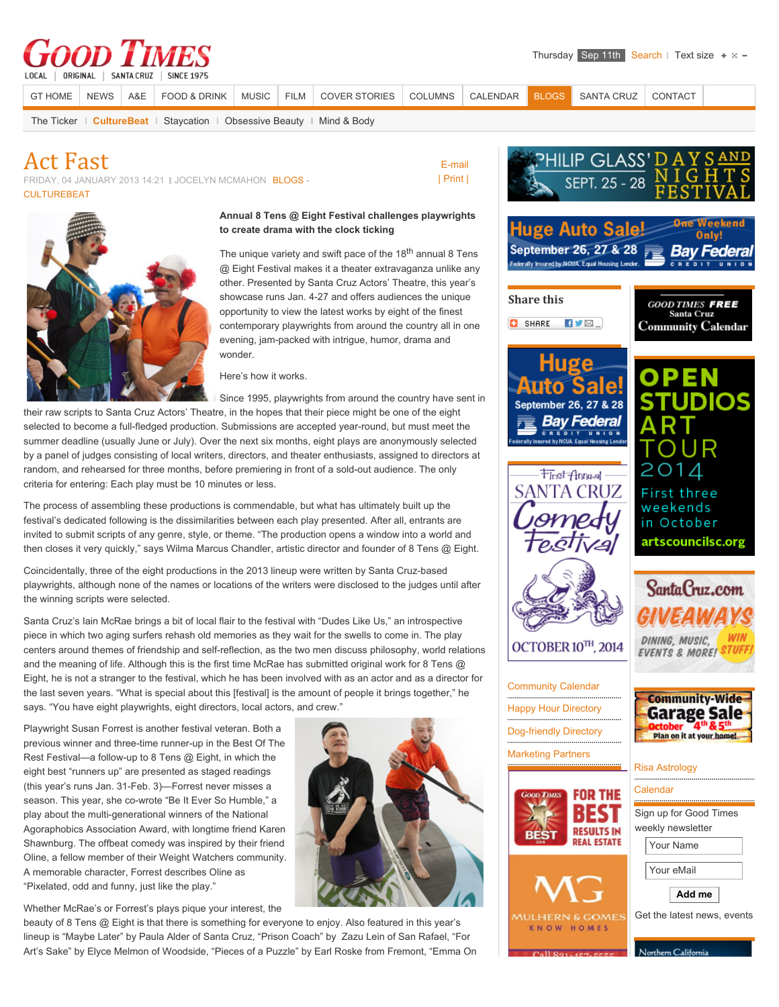# SINCE 1975

LOCAL | ORIGINAL | SANTA CRUZ

[GT HOME](http://www.gtweekly.com/) [NEWS](http://www.gtweekly.com/index.php/santa-cruz-news.html) [A&E](http://www.gtweekly.com/index.php/santa-cruz-arts-entertainment-lifestyles.html) [FOOD & DRINK](http://www.gtweekly.com/index.php/dining-wine.html) [MUSIC](http://www.gtweekly.com/index.php/santa-cruz-area-music.html) [FILM](http://www.gtweekly.com/index.php/movies-times-reviews.html) [COVER STORIES](http://www.gtweekly.com/index.php/good-times-cover-stories.html) [COLUMNS](http://www.gtweekly.com/index.php/santa-cruz-columns-commentary-oped.html) [CALENDAR](http://www.gtweekly.com/index.php/santa-cruz-area-events.html) [BLOGS](http://www.gtweekly.com/index.php/santa-cruz-blogs-commentary.html) [SANTA CRUZ](http://www.gtweekly.com/index.php/all-about-santa-cruz-activities-visitors-guide.html) [CONTACT](http://www.gtweekly.com/index.php/santa-cruz-good-times-contacts.html)

 [E-mail](http://www.gtweekly.com/index.php/component/mailto/?tmpl=component&link=243f3c10bc32e804d8ec361c2ea583217939450a) [| Print |](http://www.gtweekly.com/index.php/santa-cruz-blogs-commentary/culture-beat/4460-act-fast.html?tmpl=component&print=1&layout=default&page=)

[The Ticker](http://www.gtweekly.com/index.php/santa-cruz-blogs-commentary/santa-cruz-news-ticker.html) **[CultureBeat](http://www.gtweekly.com/index.php/santa-cruz-blogs-commentary/culture-beat.html)** [Staycation](http://www.gtweekly.com/index.php/santa-cruz-blogs-commentary/staycation.html) | [Obsessive Beauty](http://www.gtweekly.com/index.php/santa-cruz-blogs-commentary/obsessive-beauty.html) | [Mind & Body](http://www.gtweekly.com/index.php/santa-cruz-blogs-commentary/mind-body.html)

### **Act Fast**

FRIDAY, 04 JANUARY 2013 14:21 | JOCELYN MCMAHON [BLOGS -](http://www.gtweekly.com/index.php/santa-cruz-blogs-commentary.html) **[CULTUREBEAT](http://www.gtweekly.com/index.php/santa-cruz-blogs-commentary/culture-beat.html)** 



#### **Annual 8 Tens @ Eight Festival challenges playwrights to create drama with the clock ticking**

The unique variety and swift pace of the 18<sup>th</sup> annual 8 Tens @ Eight Festival makes it a theater extravaganza unlike any other. Presented by Santa Cruz Actors' Theatre, this year's showcase runs Jan. 4-27 and offers audiences the unique opportunity to view the latest works by eight of the finest contemporary playwrights from around the country all in one evening, jam-packed with intrigue, humor, drama and wonder.

Here's how it works.

Since 1995, playwrights from around the country have sent in

their raw scripts to Santa Cruz Actors' Theatre, in the hopes that their piece might be one of the eight selected to become a full-fledged production. Submissions are accepted year-round, but must meet the summer deadline (usually June or July). Over the next six months, eight plays are anonymously selected by a panel of judges consisting of local writers, directors, and theater enthusiasts, assigned to directors at random, and rehearsed for three months, before premiering in front of a sold-out audience. The only criteria for entering: Each play must be 10 minutes or less.

The process of assembling these productions is commendable, but what has ultimately built up the festival's dedicated following is the dissimilarities between each play presented. After all, entrants are invited to submit scripts of any genre, style, or theme. "The production opens a window into a world and then closes it very quickly," says Wilma Marcus Chandler, artistic director and founder of 8 Tens @ Eight.

Coincidentally, three of the eight productions in the 2013 lineup were written by Santa Cruz-based playwrights, although none of the names or locations of the writers were disclosed to the judges until after the winning scripts were selected.

Santa Cruz's Iain McRae brings a bit of local flair to the festival with "Dudes Like Us," an introspective piece in which two aging surfers rehash old memories as they wait for the swells to come in. The play centers around themes of friendship and self-reflection, as the two men discuss philosophy, world relations and the meaning of life. Although this is the first time McRae has submitted original work for 8 Tens @ Eight, he is not a stranger to the festival, which he has been involved with as an actor and as a director for the last seven years. "What is special about this [festival] is the amount of people it brings together," he says. "You have eight playwrights, eight directors, local actors, and crew."

Playwright Susan Forrest is another festival veteran. Both a previous winner and three-time runner-up in the Best Of The Rest Festival—a follow-up to 8 Tens @ Eight, in which the eight best "runners up" are presented as staged readings (this year's runs Jan. 31-Feb. 3)—Forrest never misses a season. This year, she co-wrote "Be It Ever So Humble," a play about the multi-generational winners of the National Agoraphobics Association Award, with longtime friend Karen Shawnburg. The offbeat comedy was inspired by their friend Oline, a fellow member of their Weight Watchers community. A memorable character, Forrest describes Oline as "Pixelated, odd and funny, just like the play."

Whether McRae's or Forrest's plays pique your interest, the

beauty of 8 Tens @ Eight is that there is something for everyone to enjoy. Also featured in this year's lineup is "Maybe Later" by Paula Alder of Santa Cruz, "Prison Coach" by Zazu Lein of San Rafael, "For Art's Sake" by Elyce Melmon of Woodside, "Pieces of a Puzzle" by Earl Roske from Fremont, "Emma On



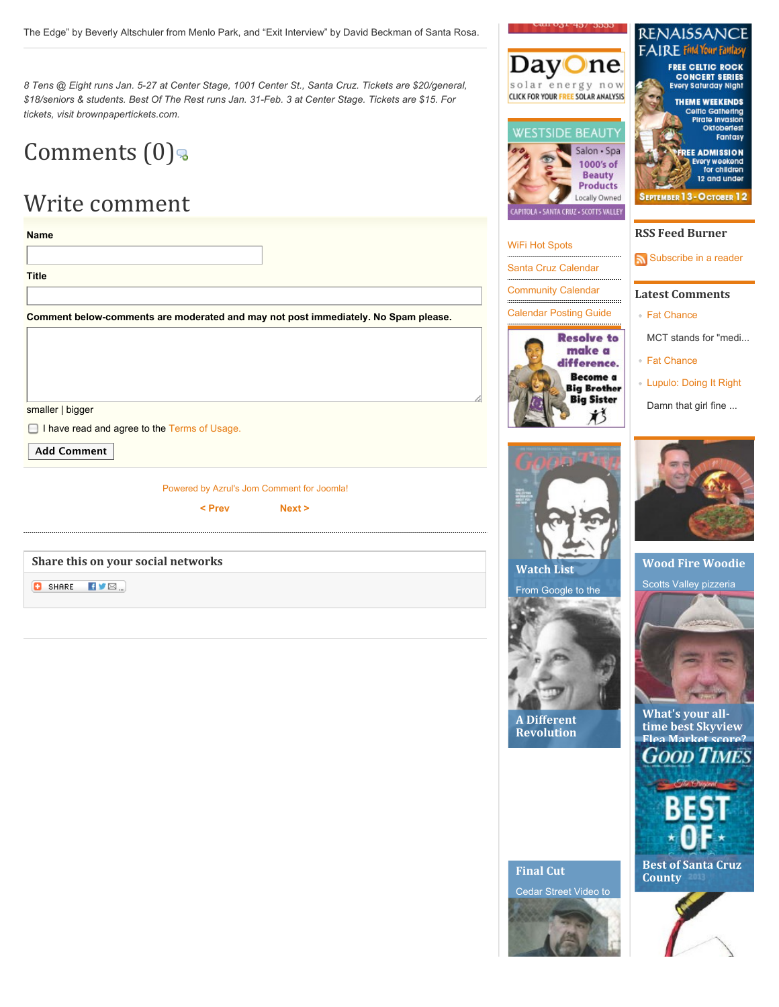*8 Tens @ Eight runs Jan. 5-27 at Center Stage, 1001 Center St., Santa Cruz. Tickets are \$20/general, \$18/seniors & students. Best Of The Rest runs Jan. 31-Feb. 3 at Center Stage. Tickets are \$15. For tickets, visit brownpapertickets.com.*

## Comments  $(0)$

### Write comment

| <b>Title</b>                                                                       |                                            |
|------------------------------------------------------------------------------------|--------------------------------------------|
|                                                                                    |                                            |
| Comment below-comments are moderated and may not post immediately. No Spam please. |                                            |
|                                                                                    |                                            |
|                                                                                    |                                            |
|                                                                                    |                                            |
|                                                                                    |                                            |
| smaller   bigger                                                                   |                                            |
| I have read and agree to the Terms of Usage.                                       |                                            |
| <b>Add Comment</b>                                                                 |                                            |
|                                                                                    | Powered by Azrul's Jom Comment for Joomla! |
|                                                                                    |                                            |
| < Prev                                                                             | Next >                                     |
|                                                                                    |                                            |
| Share this on your social networks                                                 |                                            |





### [WiFi Hot Spots](http://www.gtweekly.com/index.php/wifi-hot-spots.html) [Santa Cruz Calendar](http://www.gtweekly.com/index.php/santa-cruz-music-art-activities.html) [Community Calendar](http://www.gtweekly.com/santa-cruz-arts-entertainment-lifestyles/events-calendar-activities-santa-cruz.html) [Calendar Posting Guide](http://www.gtweekly.com/index.php/calendar-posting-guide.html) **Resolve to** make a difference. Become a **Big Brother**

**RENAISSANO** FAIRE Find Your Fant **FREE CELTIC ROCK** 

**CONCERT SERIES Every Saturday Night THEME WEEKENDS Celtic Gathering** 

Pirate invasion Oktobertest

**REE ADMISSION Every weekend** 

for children

12 and under

Fantasy

Salon · Spa 1000's of **Beauty Products** Locally Owned **SEPTEMBER 13 - O CTOBER 12** 

**D**ne

Æ

### **RSS Feed Burner**

[Subscribe in a reader](http://feeds.feedburner.com/GoodTimesSantaCruz)

#### **Latest Comments**

- ⊪ [Fat Chance](http://www.gtweekly.com/index.php/santa-cruz-blogs-commentary/mind-body/5916-fat-chance.html)
- MCT stands for "medi...
- [Fat Chance](http://www.gtweekly.com/index.php/santa-cruz-blogs-commentary/mind-body/5916-fat-chance.html)
- [Lupulo: Doing It Right](http://www.gtweekly.com/index.php/santa-cruz-arts-entertainment-lifestyles/restaurants-dining-eating-out-reviews-santa-cruz/5921-lupulo-doing-it-right.html)

Damn that girl fine ...



**Big Sister** 

**Wood Fire Woodie** Scotts Valley pizzeria



**What's your all**time best Skyview Flea Market score?<br>**GOOD TIMES** 



County



**Final Cut** 

**A** Different **Revolution** 

![](_page_1_Picture_28.jpeg)